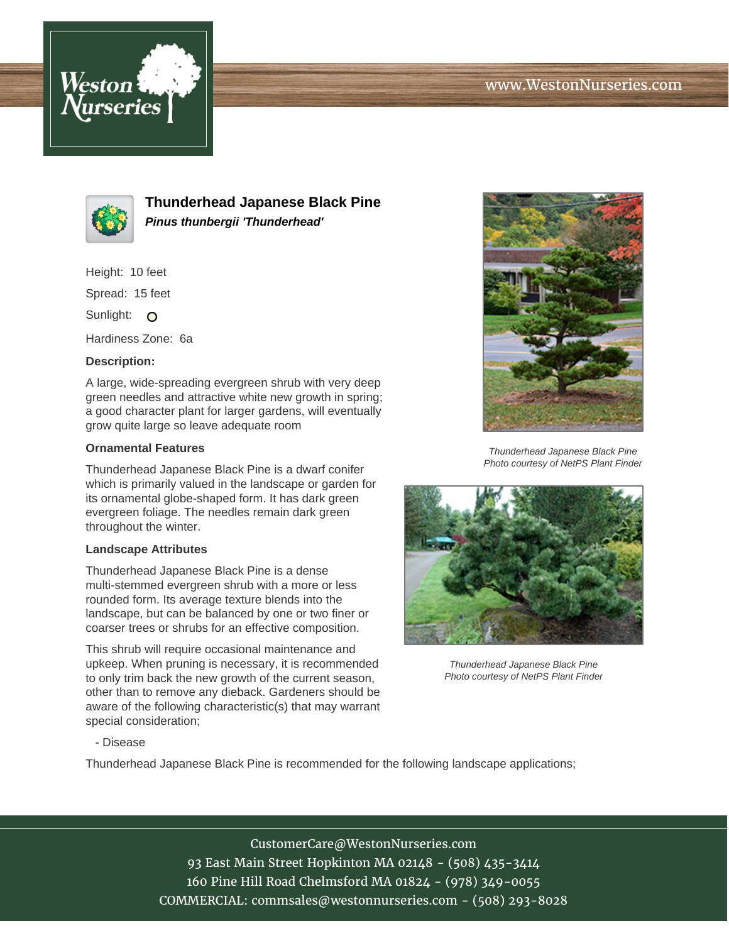



**Thunderhead Japanese Black Pine Pinus thunbergii 'Thunderhead'**

Height: 10 feet

Spread: 15 feet

Sunlight: O

Hardiness Zone: 6a

## **Description:**

A large, wide-spreading evergreen shrub with very deep green needles and attractive white new growth in spring; a good character plant for larger gardens, will eventually grow quite large so leave adequate room

## **Ornamental Features**

Thunderhead Japanese Black Pine is a dwarf conifer which is primarily valued in the landscape or garden for its ornamental globe-shaped form. It has dark green evergreen foliage. The needles remain dark green throughout the winter.

## **Landscape Attributes**

Thunderhead Japanese Black Pine is a dense multi-stemmed evergreen shrub with a more or less rounded form. Its average texture blends into the landscape, but can be balanced by one or two finer or coarser trees or shrubs for an effective composition.

This shrub will require occasional maintenance and upkeep. When pruning is necessary, it is recommended to only trim back the new growth of the current season, other than to remove any dieback. Gardeners should be aware of the following characteristic(s) that may warrant special consideration;



Thunderhead Japanese Black Pine Photo courtesy of NetPS Plant Finder



Thunderhead Japanese Black Pine Photo courtesy of NetPS Plant Finder

- Disease

Thunderhead Japanese Black Pine is recommended for the following landscape applications;

CustomerCare@WestonNurseries.com 93 East Main Street Hopkinton MA 02148 - (508) 435-3414 160 Pine Hill Road Chelmsford MA 01824 - (978) 349-0055 COMMERCIAL: commsales@westonnurseries.com - (508) 293-8028